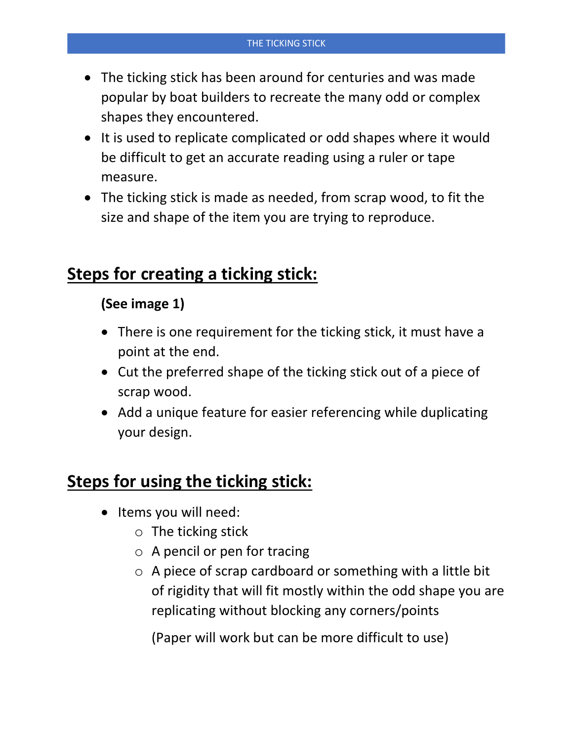- The ticking stick has been around for centuries and was made popular by boat builders to recreate the many odd or complex shapes they encountered.
- It is used to replicate complicated or odd shapes where it would be difficult to get an accurate reading using a ruler or tape measure.
- The ticking stick is made as needed, from scrap wood, to fit the size and shape of the item you are trying to reproduce.

# **Steps for creating a ticking stick:**

## **(See image 1)**

- There is one requirement for the ticking stick, it must have a point at the end.
- Cut the preferred shape of the ticking stick out of a piece of scrap wood.
- Add a unique feature for easier referencing while duplicating your design.

# **Steps for using the ticking stick:**

- Items you will need:
	- o The ticking stick
	- o A pencil or pen for tracing
	- $\circ$  A piece of scrap cardboard or something with a little bit of rigidity that will fit mostly within the odd shape you are replicating without blocking any corners/points

(Paper will work but can be more difficult to use)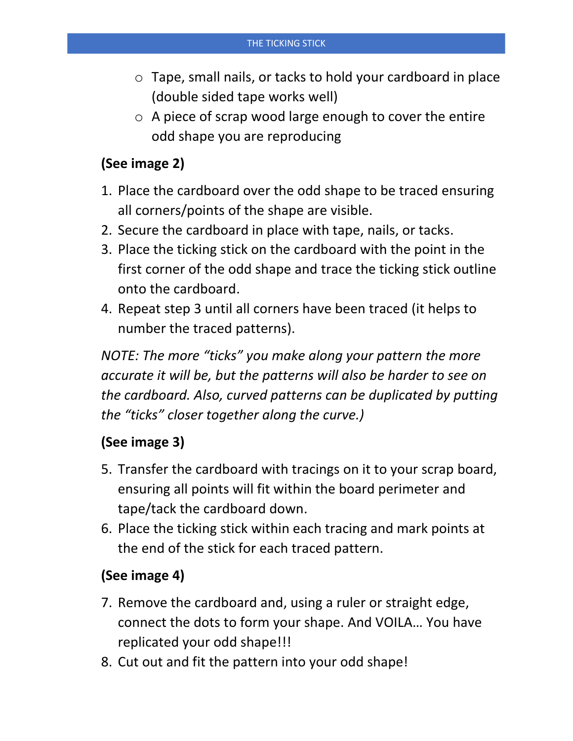- o Tape, small nails, or tacks to hold your cardboard in place (double sided tape works well)
- o A piece of scrap wood large enough to cover the entire odd shape you are reproducing

## **(See image 2)**

- 1. Place the cardboard over the odd shape to be traced ensuring all corners/points of the shape are visible.
- 2. Secure the cardboard in place with tape, nails, or tacks.
- 3. Place the ticking stick on the cardboard with the point in the first corner of the odd shape and trace the ticking stick outline onto the cardboard.
- 4. Repeat step 3 until all corners have been traced (it helps to number the traced patterns).

*NOTE: The more "ticks" you make along your pattern the more accurate it will be, but the patterns will also be harder to see on the cardboard. Also, curved patterns can be duplicated by putting the "ticks" closer together along the curve.)*

#### **(See image 3)**

- 5. Transfer the cardboard with tracings on it to your scrap board, ensuring all points will fit within the board perimeter and tape/tack the cardboard down.
- 6. Place the ticking stick within each tracing and mark points at the end of the stick for each traced pattern.

#### **(See image 4)**

- 7. Remove the cardboard and, using a ruler or straight edge, connect the dots to form your shape. And VOILA… You have replicated your odd shape!!!
- 8. Cut out and fit the pattern into your odd shape!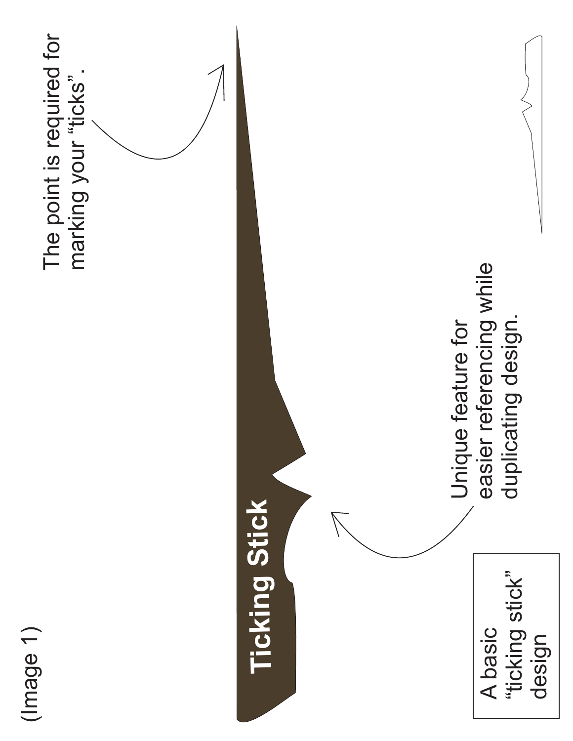

The point is required for The point is required for marking your "ticks". marking your "ticks".

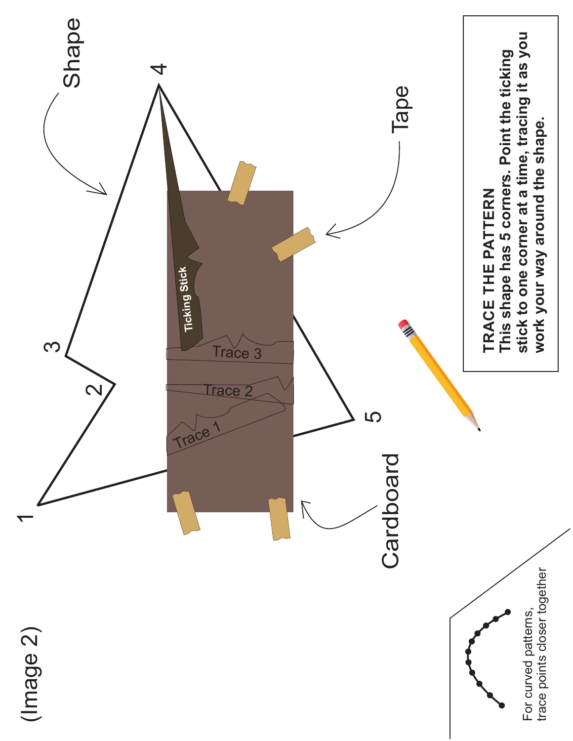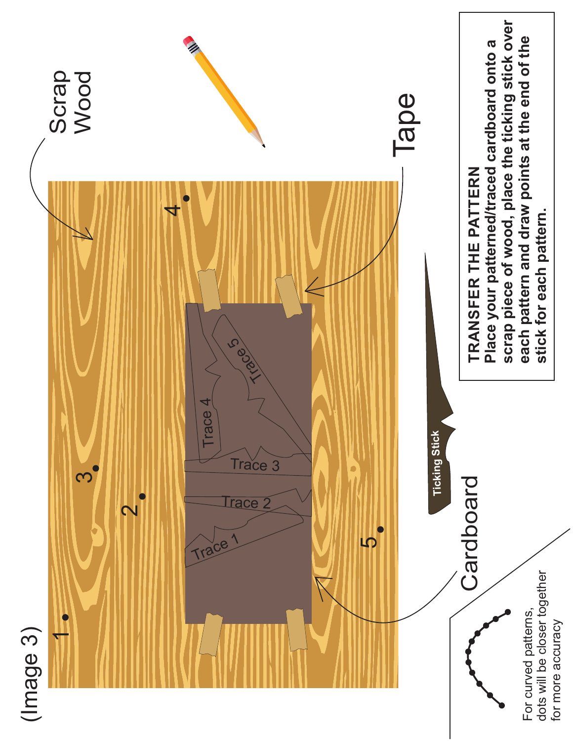